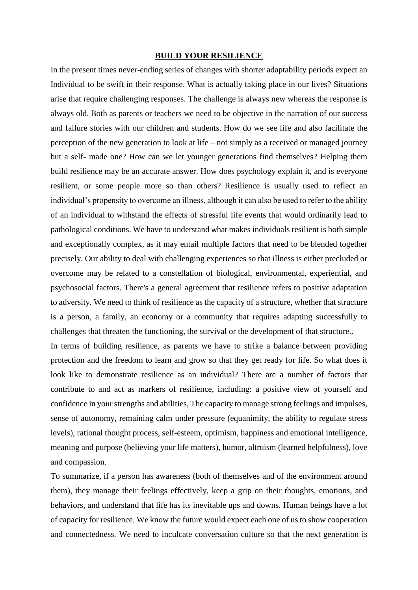## **BUILD YOUR RESILIENCE**

In the present times never-ending series of changes with shorter adaptability periods expect an Individual to be swift in their response. What is actually taking place in our lives? Situations arise that require challenging responses. The challenge is always new whereas the response is always old. Both as parents or teachers we need to be objective in the narration of our success and failure stories with our children and students. How do we see life and also facilitate the perception of the new generation to look at life – not simply as a received or managed journey but a self- made one? How can we let younger generations find themselves? Helping them build resilience may be an accurate answer. How does psychology explain it, and is everyone resilient, or some people more so than others? Resilience is usually used to reflect an individual's propensity to overcome an illness, although it can also be used to refer to the ability of an individual to withstand the effects of stressful life events that would ordinarily lead to pathological conditions. We have to understand what makes individuals resilient is both simple and exceptionally complex, as it may entail multiple factors that need to be blended together precisely. Our ability to deal with challenging experiences so that illness is either precluded or overcome may be related to a constellation of biological, environmental, experiential, and psychosocial factors. There's a general agreement that resilience refers to positive adaptation to adversity. We need to think of resilience as the capacity of a structure, whether that structure is a person, a family, an economy or a community that requires adapting successfully to challenges that threaten the functioning, the survival or the development of that structure..

In terms of building resilience, as parents we have to strike a balance between providing protection and the freedom to learn and grow so that they get ready for life. So what does it look like to demonstrate resilience as an individual? There are a number of factors that contribute to and act as markers of resilience, including: a [positive view of yourself](https://positivepsychology.com/self-worth/) and confidence in your strengths and abilities, The capacity to manage strong feelings and impulses, sense of autonomy, remaining calm under pressure (equanimity, the ability to [regulate stress](https://positivepsychology.com/mindfulness-based-stress-reduction-mbsr/)  [levels\)](https://positivepsychology.com/mindfulness-based-stress-reduction-mbsr/), rational thought process, [self-esteem,](https://positivepsychology.com/self-acceptance/) optimism, happiness and [emotional intelligence,](https://positivepsychology.com/emotional-intelligence-eq/) meaning and purpose (believing your life matters), humor, altruism (learned helpfulness), love and compassion.

To summarize, if a person has awareness (both of themselves and of the environment around them), they manage their feelings effectively, keep a grip on their thoughts, emotions, and behaviors, and understand that life has its inevitable ups and downs. Human beings have a lot of capacity for resilience. We know the future would expect each one of us to show cooperation and connectedness. We need to inculcate conversation culture so that the next generation is